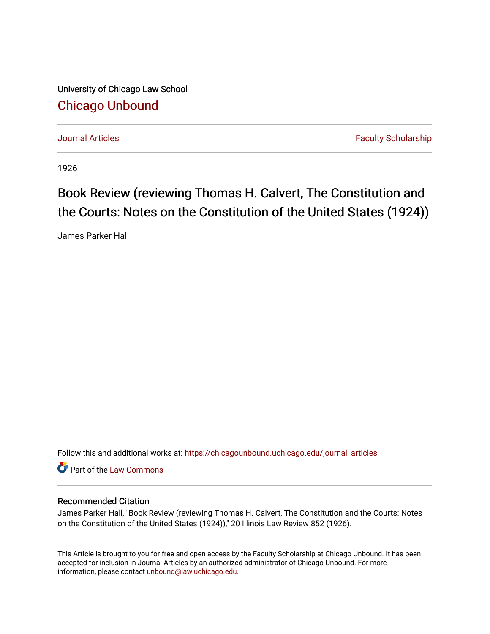University of Chicago Law School [Chicago Unbound](https://chicagounbound.uchicago.edu/)

[Journal Articles](https://chicagounbound.uchicago.edu/journal_articles) **Faculty Scholarship Journal Articles** 

1926

## Book Review (reviewing Thomas H. Calvert, The Constitution and the Courts: Notes on the Constitution of the United States (1924))

James Parker Hall

Follow this and additional works at: [https://chicagounbound.uchicago.edu/journal\\_articles](https://chicagounbound.uchicago.edu/journal_articles?utm_source=chicagounbound.uchicago.edu%2Fjournal_articles%2F8964&utm_medium=PDF&utm_campaign=PDFCoverPages) 

Part of the [Law Commons](http://network.bepress.com/hgg/discipline/578?utm_source=chicagounbound.uchicago.edu%2Fjournal_articles%2F8964&utm_medium=PDF&utm_campaign=PDFCoverPages)

## Recommended Citation

James Parker Hall, "Book Review (reviewing Thomas H. Calvert, The Constitution and the Courts: Notes on the Constitution of the United States (1924))," 20 Illinois Law Review 852 (1926).

This Article is brought to you for free and open access by the Faculty Scholarship at Chicago Unbound. It has been accepted for inclusion in Journal Articles by an authorized administrator of Chicago Unbound. For more information, please contact [unbound@law.uchicago.edu](mailto:unbound@law.uchicago.edu).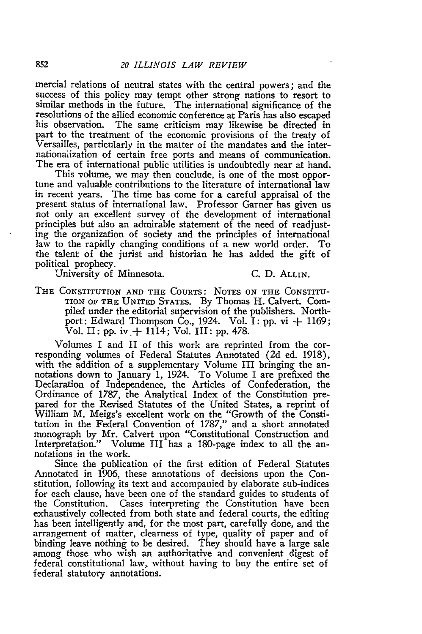mercial relations of neutral states with the central powers; and the success of this policy may tempt other strong nations to resort to similar methods in the future. The international significance of the resolutions of the allied economic conference at Paris has also escaped his observation. The same criticism may likewise be directed in part to the treatment of the economic provisions of the treaty of Versailles, particularly in the matter of the mandates and the internationalization of certain free ports and means of communication. The era of international public utilities is undoubtedly near at hand.

This volume, we may then conclude, is one of the most opportune and valuable contributions to the literature of international law in recent years. The time has come for a careful appraisal of the present status of international law. Professor Garner has given us not only an excellent survey of the development of international principles but also an admirable statement of the need of readjust- ing the organization of society and the principles of international law to the rapidly changing conditions of a new world order. To the talent of the jurist and historian he has added the gift of political prophecy.

University of Minnesota. **C. D.** ALLIN.

THE CONSTITUTION **AND THE** COURTS: **NOTES ON THE** CONSTITU-TION OF **THE UNITED STATES. By** Thomas H. Calvert. Compiled under the editorial supervision of the publishers. Northport: Edward Thompson Co., 1924. Vol. I: pp. vi **+** 1169; Vol. II: pp. iv.  $+$  1114; Vol. III: pp. 478.

Volumes I and II of this work are reprinted from the corresponding volumes of Federal Statutes Annotated (2d ed. 1918), with the addition of a supplementary Volume III bringing the annotations down to January 1, 1924. To Volume I are prefixed the Declaration of Independence, the Articles of Confederation, the Ordinance of 1787, the Analytical Index of the Constitution prepared for the Revised Statutes of the United States, a reprint of William M. Meigs's excellent work on the "Growth of the Constitution in the Federal Convention of 1787," and a short annotated monograph by Mr. Calvert upon "Constitutional Construction and Interpretation." Volume III has a 180-page index to all the annotations in the work.

Since the publication of the first edition of Federal Statutes Annotated in 1906, these annotations of decisions upon the Constitution, following its text and accompanied by elaborate sub-indices for each clause, have been one of the standard guides to students of the Constitution. Cases interpreting the Constitution have been exhaustively collected from both state and federal courts, the editing has been intelligently and, for the most part, carefully done, and the arrangement of matter, clearness of type, quality of paper and of binding leave nothing to be desired. They should have a large sale among those who wish an authoritative and convenient digest of federal constitutional law, without having to buy the entire set of federal statutory annotations.